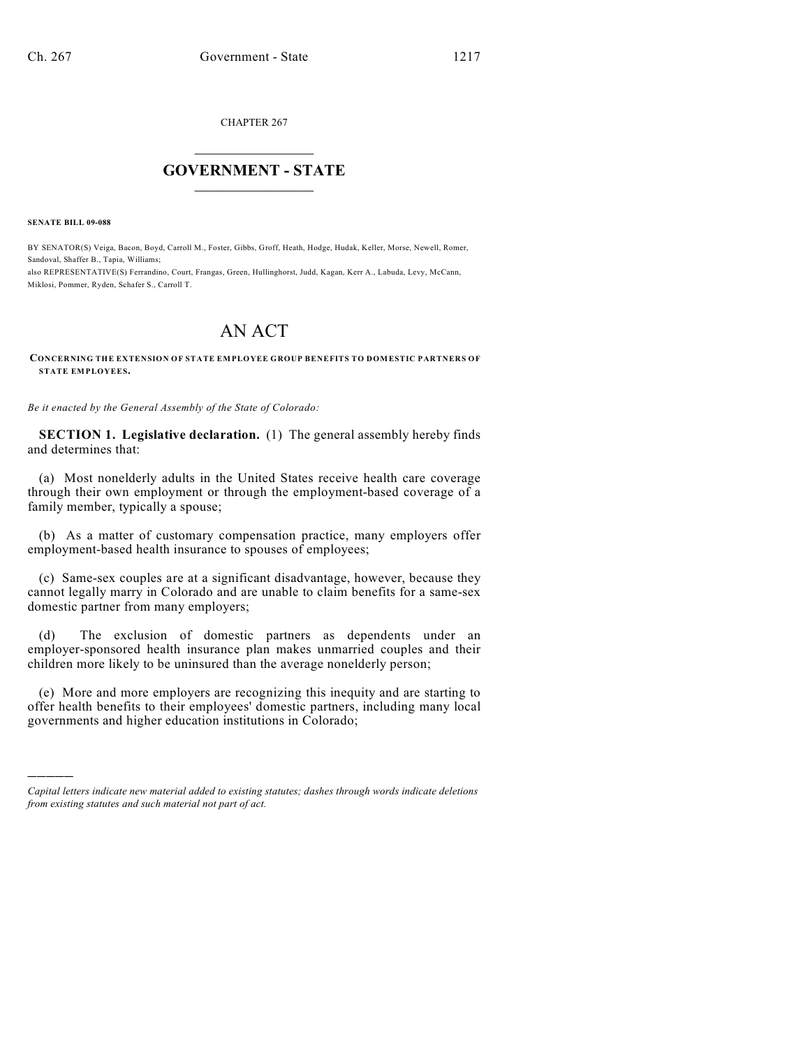CHAPTER 267

## $\overline{\phantom{a}}$  . The set of the set of the set of the set of the set of the set of the set of the set of the set of the set of the set of the set of the set of the set of the set of the set of the set of the set of the set o **GOVERNMENT - STATE**  $\_$

**SENATE BILL 09-088**

)))))

BY SENATOR(S) Veiga, Bacon, Boyd, Carroll M., Foster, Gibbs, Groff, Heath, Hodge, Hudak, Keller, Morse, Newell, Romer, Sandoval, Shaffer B., Tapia, Williams;

also REPRESENTATIVE(S) Ferrandino, Court, Frangas, Green, Hullinghorst, Judd, Kagan, Kerr A., Labuda, Levy, McCann, Miklosi, Pommer, Ryden, Schafer S., Carroll T.

## AN ACT

## **CONCERNING THE EXTENSION OF STATE EMPLOYEE GROUP BENEFITS TO DOMESTIC PARTNERS OF STATE EMPLOYEES.**

*Be it enacted by the General Assembly of the State of Colorado:*

**SECTION 1. Legislative declaration.** (1) The general assembly hereby finds and determines that:

(a) Most nonelderly adults in the United States receive health care coverage through their own employment or through the employment-based coverage of a family member, typically a spouse;

(b) As a matter of customary compensation practice, many employers offer employment-based health insurance to spouses of employees;

(c) Same-sex couples are at a significant disadvantage, however, because they cannot legally marry in Colorado and are unable to claim benefits for a same-sex domestic partner from many employers;

(d) The exclusion of domestic partners as dependents under an employer-sponsored health insurance plan makes unmarried couples and their children more likely to be uninsured than the average nonelderly person;

(e) More and more employers are recognizing this inequity and are starting to offer health benefits to their employees' domestic partners, including many local governments and higher education institutions in Colorado;

*Capital letters indicate new material added to existing statutes; dashes through words indicate deletions from existing statutes and such material not part of act.*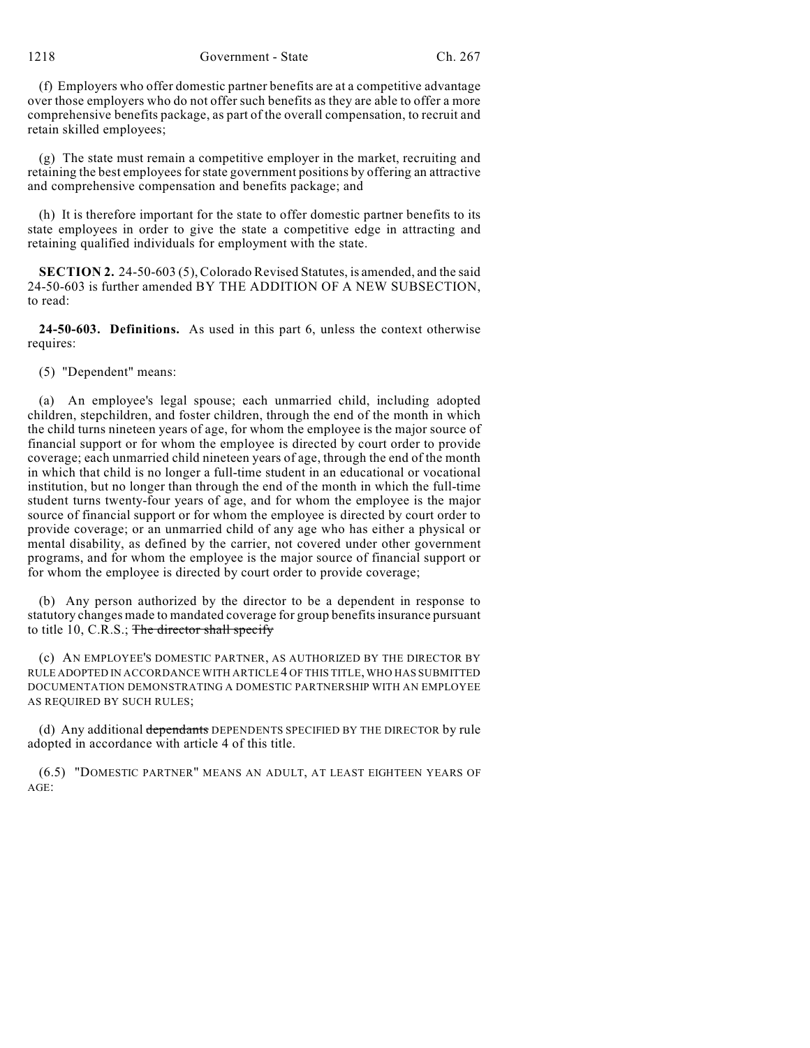1218 Government - State Ch. 267

(f) Employers who offer domestic partner benefits are at a competitive advantage over those employers who do not offer such benefits as they are able to offer a more comprehensive benefits package, as part of the overall compensation, to recruit and retain skilled employees;

(g) The state must remain a competitive employer in the market, recruiting and retaining the best employees for state government positions by offering an attractive and comprehensive compensation and benefits package; and

(h) It is therefore important for the state to offer domestic partner benefits to its state employees in order to give the state a competitive edge in attracting and retaining qualified individuals for employment with the state.

**SECTION 2.** 24-50-603 (5), Colorado Revised Statutes, is amended, and the said 24-50-603 is further amended BY THE ADDITION OF A NEW SUBSECTION, to read:

**24-50-603. Definitions.** As used in this part 6, unless the context otherwise requires:

(5) "Dependent" means:

(a) An employee's legal spouse; each unmarried child, including adopted children, stepchildren, and foster children, through the end of the month in which the child turns nineteen years of age, for whom the employee is the major source of financial support or for whom the employee is directed by court order to provide coverage; each unmarried child nineteen years of age, through the end of the month in which that child is no longer a full-time student in an educational or vocational institution, but no longer than through the end of the month in which the full-time student turns twenty-four years of age, and for whom the employee is the major source of financial support or for whom the employee is directed by court order to provide coverage; or an unmarried child of any age who has either a physical or mental disability, as defined by the carrier, not covered under other government programs, and for whom the employee is the major source of financial support or for whom the employee is directed by court order to provide coverage;

(b) Any person authorized by the director to be a dependent in response to statutory changes made to mandated coverage for group benefits insurance pursuant to title 10, C.R.S.; The director shall specify

(c) AN EMPLOYEE'S DOMESTIC PARTNER, AS AUTHORIZED BY THE DIRECTOR BY RULE ADOPTED IN ACCORDANCE WITH ARTICLE 4 OF THIS TITLE, WHO HAS SUBMITTED DOCUMENTATION DEMONSTRATING A DOMESTIC PARTNERSHIP WITH AN EMPLOYEE AS REQUIRED BY SUCH RULES;

(d) Any additional dependants DEPENDENTS SPECIFIED BY THE DIRECTOR by rule adopted in accordance with article 4 of this title.

(6.5) "DOMESTIC PARTNER" MEANS AN ADULT, AT LEAST EIGHTEEN YEARS OF AGE: